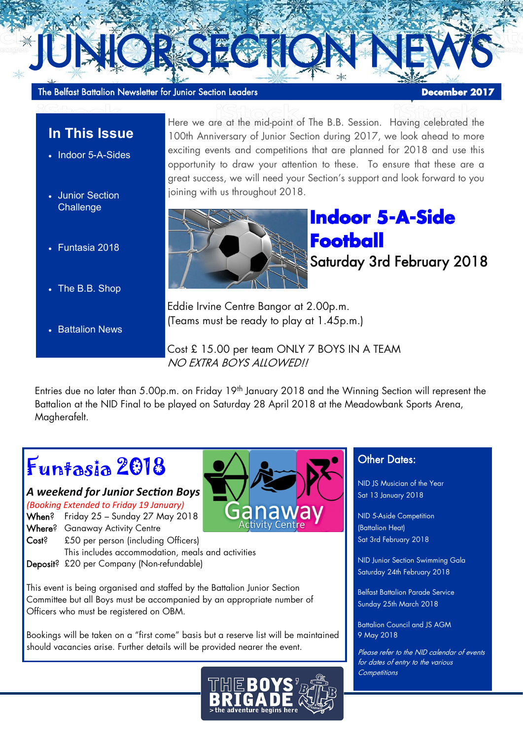The Belfast Battalion Newsletter for Junior Section Leaders **December 2017** 

## **In This Issue**

- Indoor 5-A-Sides
- Junior Section **Challenge**
- Funtasia 2018
- The B.B. Shop
- **Battalion News**

Here we are at the mid-point of The B.B. Session. Having celebrated the 100th Anniversary of Junior Section during 2017, we look ahead to more exciting events and competitions that are planned for 2018 and use this opportunity to draw your attention to these. To ensure that these are a great success, we will need your Section's support and look forward to you joining with us throughout 2018.



**Indoor 5-A-Side Football**  Saturday 3rd February 2018

Eddie Irvine Centre Bangor at 2.00p.m. (Teams must be ready to play at 1.45p.m.)

JUNIORSEGION NEWS

Cost £ 15.00 per team ONLY 7 BOYS IN A TEAM NO EXTRA BOYS ALLOWED!!

Entries due no later than 5.00p.m. on Friday 19<sup>th</sup> January 2018 and the Winning Section will represent the Battalion at the NID Final to be played on Saturday 28 April 2018 at the Meadowbank Sports Arena, Magherafelt.

# Funtasia 2018

### *A weekend for Junior Section Boys*

*(Booking Extended to Friday 19 January)* When? Friday 25 – Sunday 27 May 2018 Where? Ganaway Activity Centre

- Cost? £50 per person (including Officers) This includes accommodation, meals and activities
- Deposit? £20 per Company (Non-refundable)

This event is being organised and staffed by the Battalion Junior Section Committee but all Boys must be accompanied by an appropriate number of Officers who must be registered on OBM.

Bookings will be taken on a "first come" basis but a reserve list will be maintained should vacancies arise. Further details will be provided nearer the event.



### Other Dates:

NID JS Musician of the Year Sat 13 January 2018

NID 5-Aside Competition (Battalion Heat) Sat 3rd February 2018

NID Junior Section Swimming Gala Saturday 24th February 2018

Belfast Battalion Parade Service Sunday 25th March 2018

Battalion Council and JS AGM 9 May 2018

Please refer to the NID calendar of events for dates of entry to the various **Competitions**